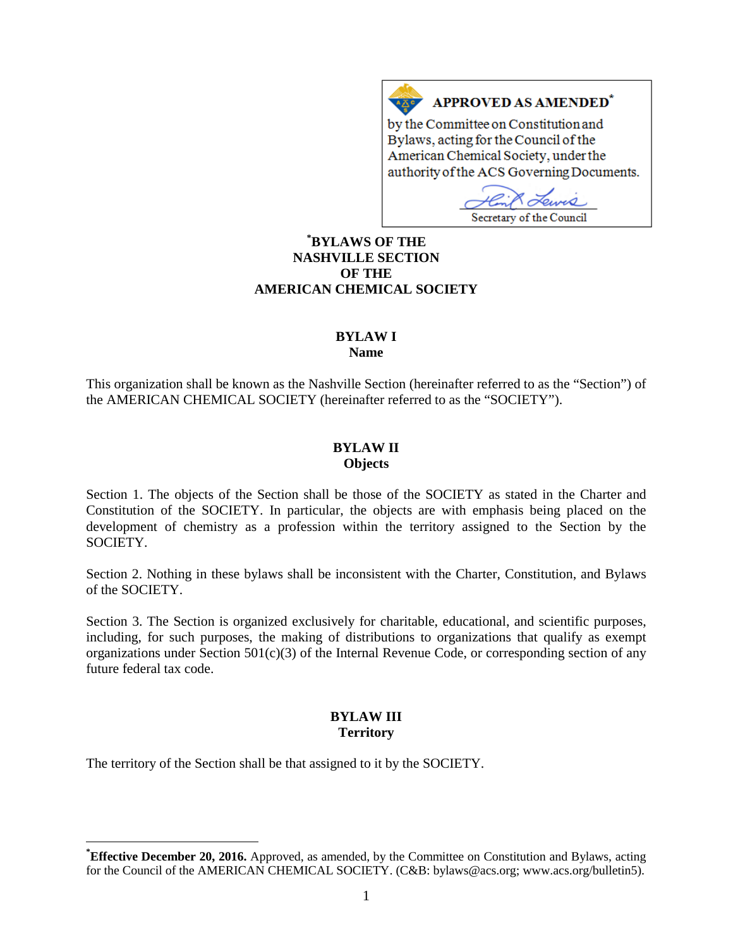## APPROVED AS AMENDED\*

by the Committee on Constitution and Bylaws, acting for the Council of the American Chemical Society, under the authority of the ACS Governing Documents.

 $\mathcal{O}_{I}$ Secretary of the Council

## **[\\*](#page-0-0) BYLAWS OF THE NASHVILLE SECTION OF THE AMERICAN CHEMICAL SOCIETY**

 $A \underline{X}$ 

# **BYLAW I**

**Name**

This organization shall be known as the Nashville Section (hereinafter referred to as the "Section") of the AMERICAN CHEMICAL SOCIETY (hereinafter referred to as the "SOCIETY").

#### **BYLAW II Objects**

Section 1. The objects of the Section shall be those of the SOCIETY as stated in the Charter and Constitution of the SOCIETY. In particular, the objects are with emphasis being placed on the development of chemistry as a profession within the territory assigned to the Section by the SOCIETY.

Section 2. Nothing in these bylaws shall be inconsistent with the Charter, Constitution, and Bylaws of the SOCIETY.

Section 3. The Section is organized exclusively for charitable, educational, and scientific purposes, including, for such purposes, the making of distributions to organizations that qualify as exempt organizations under Section  $501(c)(3)$  of the Internal Revenue Code, or corresponding section of any future federal tax code.

## **BYLAW III Territory**

The territory of the Section shall be that assigned to it by the SOCIETY.

<span id="page-0-0"></span>**\* Effective December 20, 2016.** Approved, as amended, by the Committee on Constitution and Bylaws, acting for the Council of the AMERICAN CHEMICAL SOCIETY. (C&B: bylaws@acs.org; www.acs.org/bulletin5).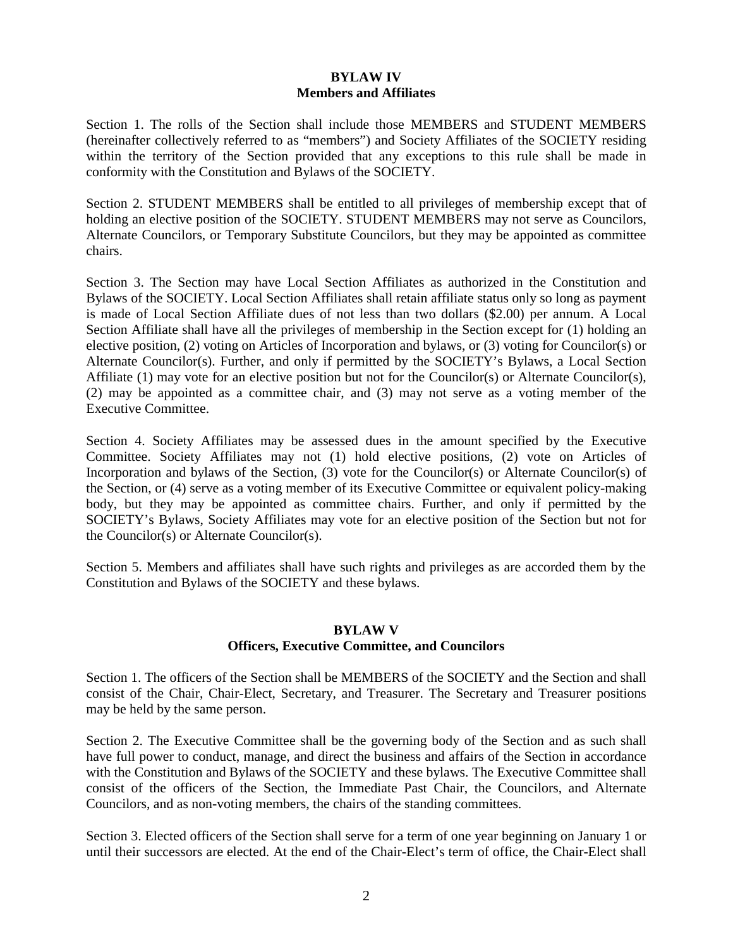### **BYLAW IV Members and Affiliates**

Section 1. The rolls of the Section shall include those MEMBERS and STUDENT MEMBERS (hereinafter collectively referred to as "members") and Society Affiliates of the SOCIETY residing within the territory of the Section provided that any exceptions to this rule shall be made in conformity with the Constitution and Bylaws of the SOCIETY.

Section 2. STUDENT MEMBERS shall be entitled to all privileges of membership except that of holding an elective position of the SOCIETY. STUDENT MEMBERS may not serve as Councilors, Alternate Councilors, or Temporary Substitute Councilors, but they may be appointed as committee chairs.

Section 3. The Section may have Local Section Affiliates as authorized in the Constitution and Bylaws of the SOCIETY. Local Section Affiliates shall retain affiliate status only so long as payment is made of Local Section Affiliate dues of not less than two dollars (\$2.00) per annum. A Local Section Affiliate shall have all the privileges of membership in the Section except for (1) holding an elective position, (2) voting on Articles of Incorporation and bylaws, or (3) voting for Councilor(s) or Alternate Councilor(s). Further, and only if permitted by the SOCIETY's Bylaws, a Local Section Affiliate (1) may vote for an elective position but not for the Councilor(s) or Alternate Councilor(s), (2) may be appointed as a committee chair, and (3) may not serve as a voting member of the Executive Committee.

Section 4. Society Affiliates may be assessed dues in the amount specified by the Executive Committee. Society Affiliates may not (1) hold elective positions, (2) vote on Articles of Incorporation and bylaws of the Section, (3) vote for the Councilor(s) or Alternate Councilor(s) of the Section, or (4) serve as a voting member of its Executive Committee or equivalent policy-making body, but they may be appointed as committee chairs. Further, and only if permitted by the SOCIETY's Bylaws, Society Affiliates may vote for an elective position of the Section but not for the Councilor(s) or Alternate Councilor(s).

Section 5. Members and affiliates shall have such rights and privileges as are accorded them by the Constitution and Bylaws of the SOCIETY and these bylaws.

#### **BYLAW V Officers, Executive Committee, and Councilors**

Section 1. The officers of the Section shall be MEMBERS of the SOCIETY and the Section and shall consist of the Chair, Chair-Elect, Secretary, and Treasurer. The Secretary and Treasurer positions may be held by the same person.

Section 2. The Executive Committee shall be the governing body of the Section and as such shall have full power to conduct, manage, and direct the business and affairs of the Section in accordance with the Constitution and Bylaws of the SOCIETY and these bylaws. The Executive Committee shall consist of the officers of the Section, the Immediate Past Chair, the Councilors, and Alternate Councilors, and as non-voting members, the chairs of the standing committees.

Section 3. Elected officers of the Section shall serve for a term of one year beginning on January 1 or until their successors are elected. At the end of the Chair-Elect's term of office, the Chair-Elect shall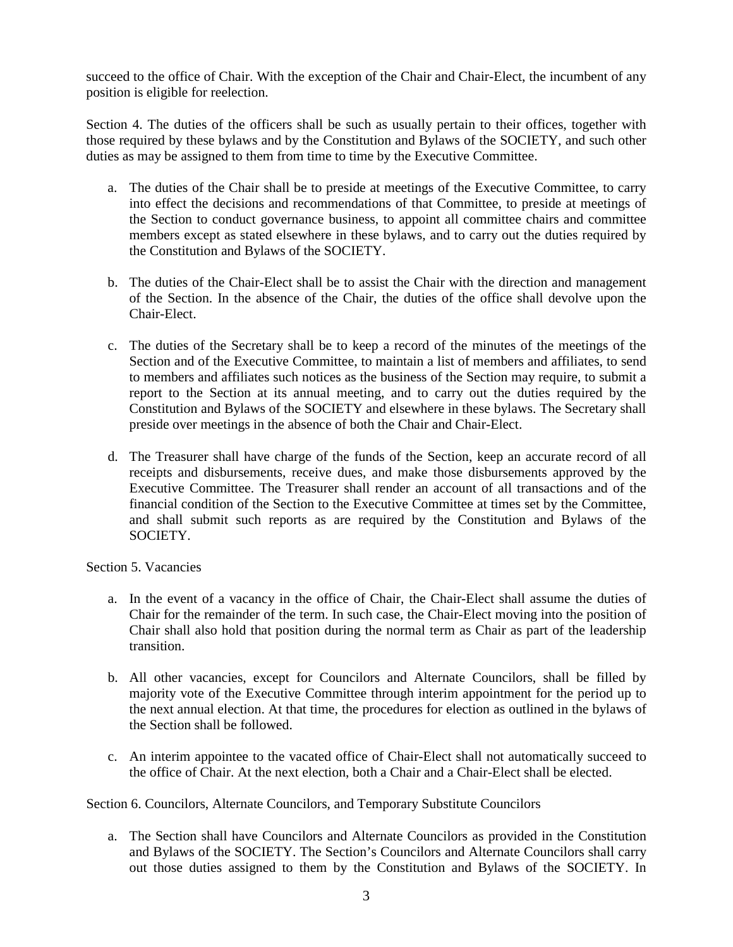succeed to the office of Chair. With the exception of the Chair and Chair-Elect, the incumbent of any position is eligible for reelection.

Section 4. The duties of the officers shall be such as usually pertain to their offices, together with those required by these bylaws and by the Constitution and Bylaws of the SOCIETY, and such other duties as may be assigned to them from time to time by the Executive Committee.

- a. The duties of the Chair shall be to preside at meetings of the Executive Committee, to carry into effect the decisions and recommendations of that Committee, to preside at meetings of the Section to conduct governance business, to appoint all committee chairs and committee members except as stated elsewhere in these bylaws, and to carry out the duties required by the Constitution and Bylaws of the SOCIETY.
- b. The duties of the Chair-Elect shall be to assist the Chair with the direction and management of the Section. In the absence of the Chair, the duties of the office shall devolve upon the Chair-Elect.
- c. The duties of the Secretary shall be to keep a record of the minutes of the meetings of the Section and of the Executive Committee, to maintain a list of members and affiliates, to send to members and affiliates such notices as the business of the Section may require, to submit a report to the Section at its annual meeting, and to carry out the duties required by the Constitution and Bylaws of the SOCIETY and elsewhere in these bylaws. The Secretary shall preside over meetings in the absence of both the Chair and Chair-Elect.
- d. The Treasurer shall have charge of the funds of the Section, keep an accurate record of all receipts and disbursements, receive dues, and make those disbursements approved by the Executive Committee. The Treasurer shall render an account of all transactions and of the financial condition of the Section to the Executive Committee at times set by the Committee, and shall submit such reports as are required by the Constitution and Bylaws of the SOCIETY.

Section 5. Vacancies

- a. In the event of a vacancy in the office of Chair, the Chair-Elect shall assume the duties of Chair for the remainder of the term. In such case, the Chair-Elect moving into the position of Chair shall also hold that position during the normal term as Chair as part of the leadership transition.
- b. All other vacancies, except for Councilors and Alternate Councilors, shall be filled by majority vote of the Executive Committee through interim appointment for the period up to the next annual election. At that time, the procedures for election as outlined in the bylaws of the Section shall be followed.
- c. An interim appointee to the vacated office of Chair-Elect shall not automatically succeed to the office of Chair. At the next election, both a Chair and a Chair-Elect shall be elected.

Section 6. Councilors, Alternate Councilors, and Temporary Substitute Councilors

a. The Section shall have Councilors and Alternate Councilors as provided in the Constitution and Bylaws of the SOCIETY. The Section's Councilors and Alternate Councilors shall carry out those duties assigned to them by the Constitution and Bylaws of the SOCIETY. In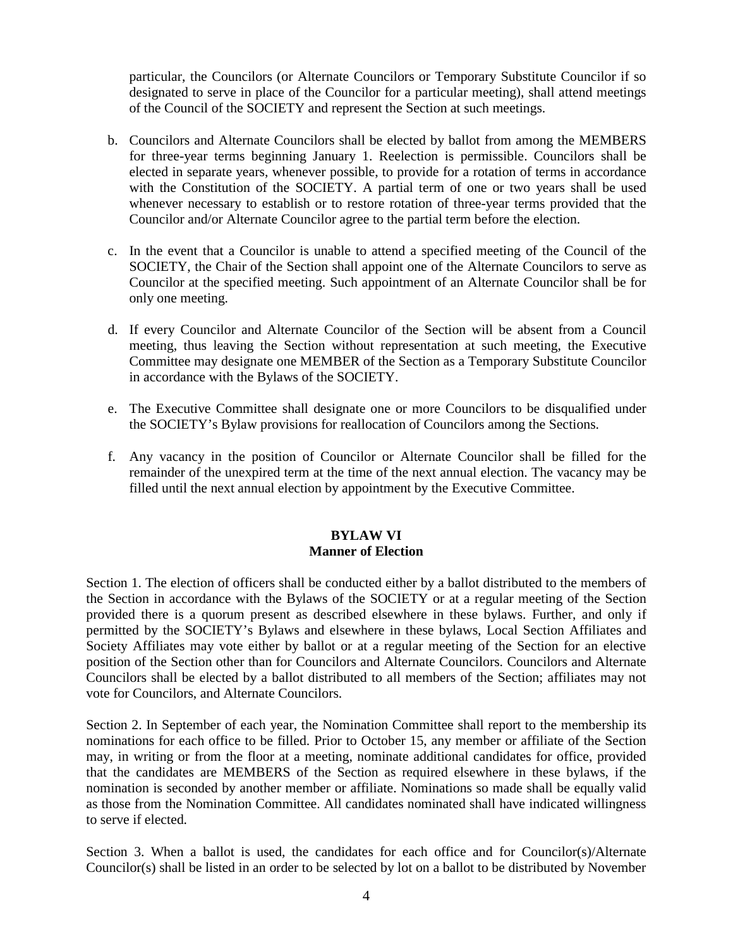particular, the Councilors (or Alternate Councilors or Temporary Substitute Councilor if so designated to serve in place of the Councilor for a particular meeting), shall attend meetings of the Council of the SOCIETY and represent the Section at such meetings.

- b. Councilors and Alternate Councilors shall be elected by ballot from among the MEMBERS for three-year terms beginning January 1. Reelection is permissible. Councilors shall be elected in separate years, whenever possible, to provide for a rotation of terms in accordance with the Constitution of the SOCIETY. A partial term of one or two years shall be used whenever necessary to establish or to restore rotation of three-year terms provided that the Councilor and/or Alternate Councilor agree to the partial term before the election.
- c. In the event that a Councilor is unable to attend a specified meeting of the Council of the SOCIETY, the Chair of the Section shall appoint one of the Alternate Councilors to serve as Councilor at the specified meeting. Such appointment of an Alternate Councilor shall be for only one meeting.
- d. If every Councilor and Alternate Councilor of the Section will be absent from a Council meeting, thus leaving the Section without representation at such meeting, the Executive Committee may designate one MEMBER of the Section as a Temporary Substitute Councilor in accordance with the Bylaws of the SOCIETY.
- e. The Executive Committee shall designate one or more Councilors to be disqualified under the SOCIETY's Bylaw provisions for reallocation of Councilors among the Sections.
- f. Any vacancy in the position of Councilor or Alternate Councilor shall be filled for the remainder of the unexpired term at the time of the next annual election. The vacancy may be filled until the next annual election by appointment by the Executive Committee.

#### **BYLAW VI Manner of Election**

Section 1. The election of officers shall be conducted either by a ballot distributed to the members of the Section in accordance with the Bylaws of the SOCIETY or at a regular meeting of the Section provided there is a quorum present as described elsewhere in these bylaws. Further, and only if permitted by the SOCIETY's Bylaws and elsewhere in these bylaws, Local Section Affiliates and Society Affiliates may vote either by ballot or at a regular meeting of the Section for an elective position of the Section other than for Councilors and Alternate Councilors. Councilors and Alternate Councilors shall be elected by a ballot distributed to all members of the Section; affiliates may not vote for Councilors, and Alternate Councilors.

Section 2. In September of each year, the Nomination Committee shall report to the membership its nominations for each office to be filled. Prior to October 15, any member or affiliate of the Section may, in writing or from the floor at a meeting, nominate additional candidates for office, provided that the candidates are MEMBERS of the Section as required elsewhere in these bylaws, if the nomination is seconded by another member or affiliate. Nominations so made shall be equally valid as those from the Nomination Committee. All candidates nominated shall have indicated willingness to serve if elected.

Section 3. When a ballot is used, the candidates for each office and for Councilor(s)/Alternate Councilor(s) shall be listed in an order to be selected by lot on a ballot to be distributed by November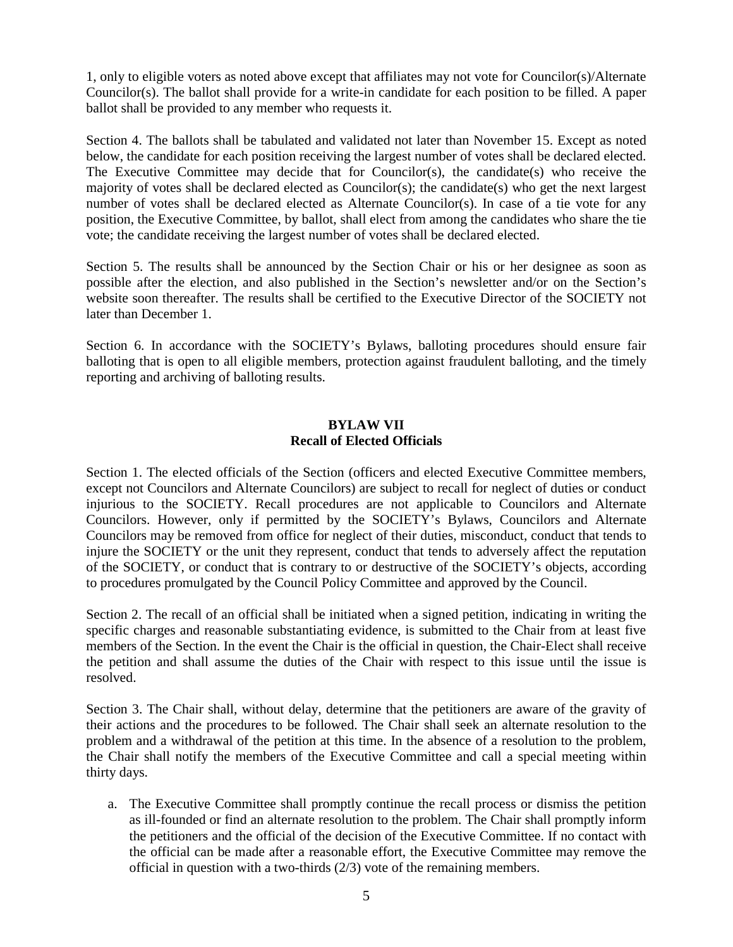1, only to eligible voters as noted above except that affiliates may not vote for Councilor(s)/Alternate Councilor(s). The ballot shall provide for a write-in candidate for each position to be filled. A paper ballot shall be provided to any member who requests it.

Section 4. The ballots shall be tabulated and validated not later than November 15. Except as noted below, the candidate for each position receiving the largest number of votes shall be declared elected. The Executive Committee may decide that for Councilor(s), the candidate(s) who receive the majority of votes shall be declared elected as Councilor(s); the candidate(s) who get the next largest number of votes shall be declared elected as Alternate Councilor(s). In case of a tie vote for any position, the Executive Committee, by ballot, shall elect from among the candidates who share the tie vote; the candidate receiving the largest number of votes shall be declared elected.

Section 5. The results shall be announced by the Section Chair or his or her designee as soon as possible after the election, and also published in the Section's newsletter and/or on the Section's website soon thereafter. The results shall be certified to the Executive Director of the SOCIETY not later than December 1.

Section 6. In accordance with the SOCIETY's Bylaws, balloting procedures should ensure fair balloting that is open to all eligible members, protection against fraudulent balloting, and the timely reporting and archiving of balloting results.

#### **BYLAW VII Recall of Elected Officials**

Section 1. The elected officials of the Section (officers and elected Executive Committee members, except not Councilors and Alternate Councilors) are subject to recall for neglect of duties or conduct injurious to the SOCIETY. Recall procedures are not applicable to Councilors and Alternate Councilors. However, only if permitted by the SOCIETY's Bylaws, Councilors and Alternate Councilors may be removed from office for neglect of their duties, misconduct, conduct that tends to injure the SOCIETY or the unit they represent, conduct that tends to adversely affect the reputation of the SOCIETY, or conduct that is contrary to or destructive of the SOCIETY's objects, according to procedures promulgated by the Council Policy Committee and approved by the Council.

Section 2. The recall of an official shall be initiated when a signed petition, indicating in writing the specific charges and reasonable substantiating evidence, is submitted to the Chair from at least five members of the Section. In the event the Chair is the official in question, the Chair-Elect shall receive the petition and shall assume the duties of the Chair with respect to this issue until the issue is resolved.

Section 3. The Chair shall, without delay, determine that the petitioners are aware of the gravity of their actions and the procedures to be followed. The Chair shall seek an alternate resolution to the problem and a withdrawal of the petition at this time. In the absence of a resolution to the problem, the Chair shall notify the members of the Executive Committee and call a special meeting within thirty days.

a. The Executive Committee shall promptly continue the recall process or dismiss the petition as ill-founded or find an alternate resolution to the problem. The Chair shall promptly inform the petitioners and the official of the decision of the Executive Committee. If no contact with the official can be made after a reasonable effort, the Executive Committee may remove the official in question with a two-thirds (2/3) vote of the remaining members.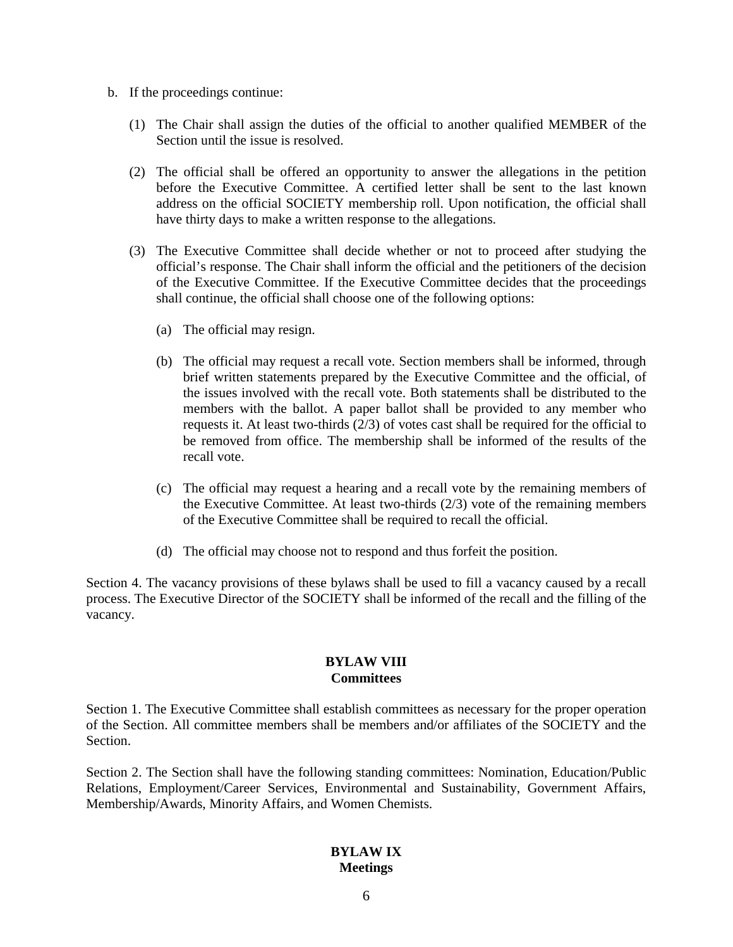- b. If the proceedings continue:
	- (1) The Chair shall assign the duties of the official to another qualified MEMBER of the Section until the issue is resolved.
	- (2) The official shall be offered an opportunity to answer the allegations in the petition before the Executive Committee. A certified letter shall be sent to the last known address on the official SOCIETY membership roll. Upon notification, the official shall have thirty days to make a written response to the allegations.
	- (3) The Executive Committee shall decide whether or not to proceed after studying the official's response. The Chair shall inform the official and the petitioners of the decision of the Executive Committee. If the Executive Committee decides that the proceedings shall continue, the official shall choose one of the following options:
		- (a) The official may resign.
		- (b) The official may request a recall vote. Section members shall be informed, through brief written statements prepared by the Executive Committee and the official, of the issues involved with the recall vote. Both statements shall be distributed to the members with the ballot. A paper ballot shall be provided to any member who requests it. At least two-thirds (2/3) of votes cast shall be required for the official to be removed from office. The membership shall be informed of the results of the recall vote.
		- (c) The official may request a hearing and a recall vote by the remaining members of the Executive Committee. At least two-thirds (2/3) vote of the remaining members of the Executive Committee shall be required to recall the official.
		- (d) The official may choose not to respond and thus forfeit the position.

Section 4. The vacancy provisions of these bylaws shall be used to fill a vacancy caused by a recall process. The Executive Director of the SOCIETY shall be informed of the recall and the filling of the vacancy.

#### **BYLAW VIII Committees**

Section 1. The Executive Committee shall establish committees as necessary for the proper operation of the Section. All committee members shall be members and/or affiliates of the SOCIETY and the Section.

Section 2. The Section shall have the following standing committees: Nomination, Education/Public Relations, Employment/Career Services, Environmental and Sustainability, Government Affairs, Membership/Awards, Minority Affairs, and Women Chemists.

#### **BYLAW IX Meetings**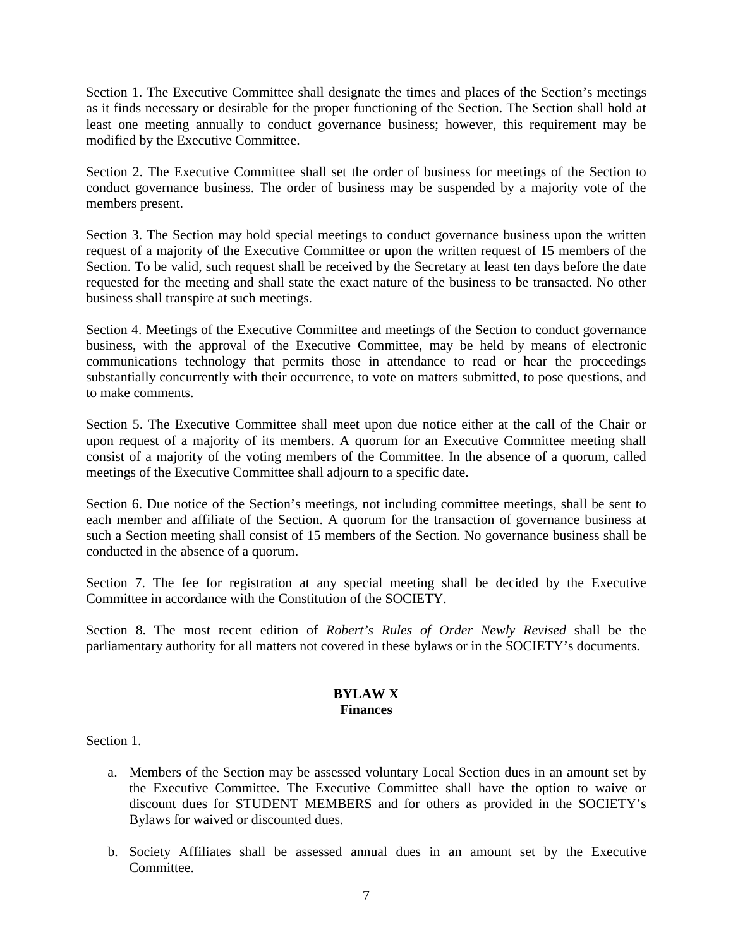Section 1. The Executive Committee shall designate the times and places of the Section's meetings as it finds necessary or desirable for the proper functioning of the Section. The Section shall hold at least one meeting annually to conduct governance business; however, this requirement may be modified by the Executive Committee.

Section 2. The Executive Committee shall set the order of business for meetings of the Section to conduct governance business. The order of business may be suspended by a majority vote of the members present.

Section 3. The Section may hold special meetings to conduct governance business upon the written request of a majority of the Executive Committee or upon the written request of 15 members of the Section. To be valid, such request shall be received by the Secretary at least ten days before the date requested for the meeting and shall state the exact nature of the business to be transacted. No other business shall transpire at such meetings.

Section 4. Meetings of the Executive Committee and meetings of the Section to conduct governance business, with the approval of the Executive Committee, may be held by means of electronic communications technology that permits those in attendance to read or hear the proceedings substantially concurrently with their occurrence, to vote on matters submitted, to pose questions, and to make comments.

Section 5. The Executive Committee shall meet upon due notice either at the call of the Chair or upon request of a majority of its members. A quorum for an Executive Committee meeting shall consist of a majority of the voting members of the Committee. In the absence of a quorum, called meetings of the Executive Committee shall adjourn to a specific date.

Section 6. Due notice of the Section's meetings, not including committee meetings, shall be sent to each member and affiliate of the Section. A quorum for the transaction of governance business at such a Section meeting shall consist of 15 members of the Section. No governance business shall be conducted in the absence of a quorum.

Section 7. The fee for registration at any special meeting shall be decided by the Executive Committee in accordance with the Constitution of the SOCIETY.

Section 8. The most recent edition of *Robert's Rules of Order Newly Revised* shall be the parliamentary authority for all matters not covered in these bylaws or in the SOCIETY's documents.

#### **BYLAW X Finances**

Section 1.

- a. Members of the Section may be assessed voluntary Local Section dues in an amount set by the Executive Committee. The Executive Committee shall have the option to waive or discount dues for STUDENT MEMBERS and for others as provided in the SOCIETY's Bylaws for waived or discounted dues.
- b. Society Affiliates shall be assessed annual dues in an amount set by the Executive Committee.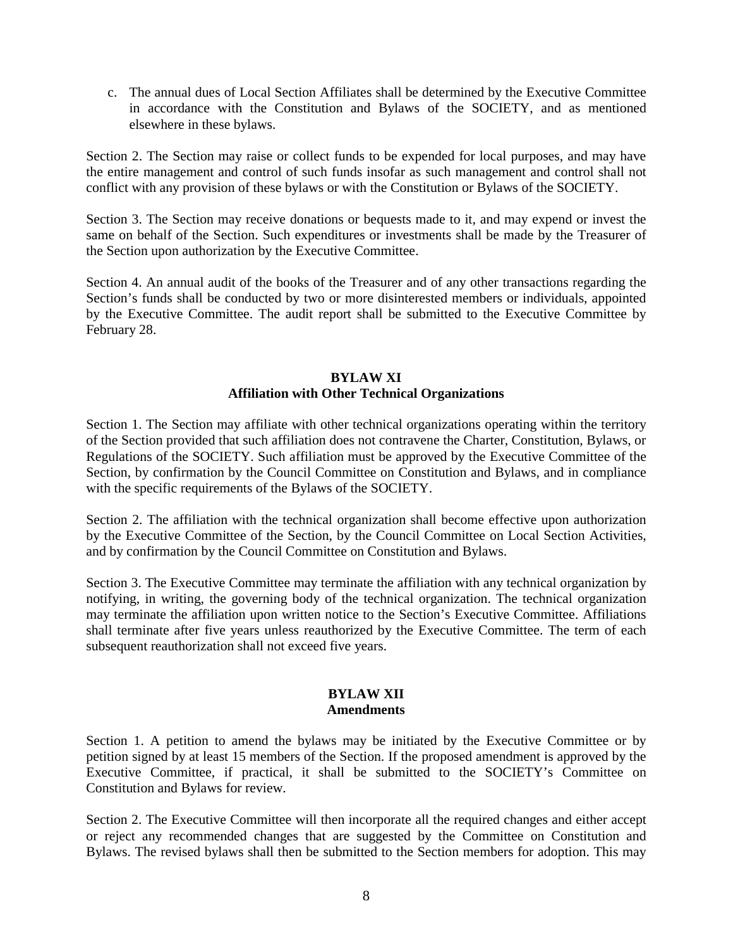c. The annual dues of Local Section Affiliates shall be determined by the Executive Committee in accordance with the Constitution and Bylaws of the SOCIETY, and as mentioned elsewhere in these bylaws.

Section 2. The Section may raise or collect funds to be expended for local purposes, and may have the entire management and control of such funds insofar as such management and control shall not conflict with any provision of these bylaws or with the Constitution or Bylaws of the SOCIETY.

Section 3. The Section may receive donations or bequests made to it, and may expend or invest the same on behalf of the Section. Such expenditures or investments shall be made by the Treasurer of the Section upon authorization by the Executive Committee.

Section 4. An annual audit of the books of the Treasurer and of any other transactions regarding the Section's funds shall be conducted by two or more disinterested members or individuals, appointed by the Executive Committee. The audit report shall be submitted to the Executive Committee by February 28.

## **BYLAW XI Affiliation with Other Technical Organizations**

Section 1. The Section may affiliate with other technical organizations operating within the territory of the Section provided that such affiliation does not contravene the Charter, Constitution, Bylaws, or Regulations of the SOCIETY. Such affiliation must be approved by the Executive Committee of the Section, by confirmation by the Council Committee on Constitution and Bylaws, and in compliance with the specific requirements of the Bylaws of the SOCIETY.

Section 2. The affiliation with the technical organization shall become effective upon authorization by the Executive Committee of the Section, by the Council Committee on Local Section Activities, and by confirmation by the Council Committee on Constitution and Bylaws.

Section 3. The Executive Committee may terminate the affiliation with any technical organization by notifying, in writing, the governing body of the technical organization. The technical organization may terminate the affiliation upon written notice to the Section's Executive Committee. Affiliations shall terminate after five years unless reauthorized by the Executive Committee. The term of each subsequent reauthorization shall not exceed five years.

#### **BYLAW XII Amendments**

Section 1. A petition to amend the bylaws may be initiated by the Executive Committee or by petition signed by at least 15 members of the Section. If the proposed amendment is approved by the Executive Committee, if practical, it shall be submitted to the SOCIETY's Committee on Constitution and Bylaws for review.

Section 2. The Executive Committee will then incorporate all the required changes and either accept or reject any recommended changes that are suggested by the Committee on Constitution and Bylaws. The revised bylaws shall then be submitted to the Section members for adoption. This may